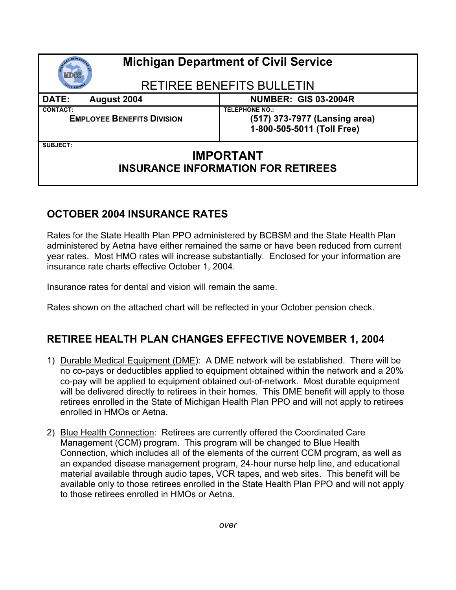| <b>Michigan Department of Civil Service</b>                                      |                                                                                      |
|----------------------------------------------------------------------------------|--------------------------------------------------------------------------------------|
| <b>RETIREE BENEFITS BULLETIN</b>                                                 |                                                                                      |
| <b>DATE:</b><br>August 2004                                                      | <b>NUMBER: GIS 03-2004R</b>                                                          |
| <b>CONTACT:</b><br><b>EMPLOYEE BENEFITS DIVISION</b>                             | <b>TELEPHONE NO.:</b><br>(517) 373-7977 (Lansing area)<br>1-800-505-5011 (Toll Free) |
| <b>SUBJECT:</b><br><b>IMPORTANT</b><br><b>INSURANCE INFORMATION FOR RETIREES</b> |                                                                                      |

## **OCTOBER 2004 INSURANCE RATES**

Rates for the State Health Plan PPO administered by BCBSM and the State Health Plan administered by Aetna have either remained the same or have been reduced from current year rates. Most HMO rates will increase substantially. Enclosed for your information are insurance rate charts effective October 1, 2004.

Insurance rates for dental and vision will remain the same.

Rates shown on the attached chart will be reflected in your October pension check.

## **RETIREE HEALTH PLAN CHANGES EFFECTIVE NOVEMBER 1, 2004**

- 1) Durable Medical Equipment (DME): A DME network will be established. There will be no co-pays or deductibles applied to equipment obtained within the network and a 20% co-pay will be applied to equipment obtained out-of-network. Most durable equipment will be delivered directly to retirees in their homes. This DME benefit will apply to those retirees enrolled in the State of Michigan Health Plan PPO and will not apply to retirees enrolled in HMOs or Aetna.
- 2) Blue Health Connection: Retirees are currently offered the Coordinated Care Management (CCM) program. This program will be changed to Blue Health Connection, which includes all of the elements of the current CCM program, as well as an expanded disease management program, 24-hour nurse help line, and educational material available through audio tapes, VCR tapes, and web sites. This benefit will be available only to those retirees enrolled in the State Health Plan PPO and will not apply to those retirees enrolled in HMOs or Aetna.